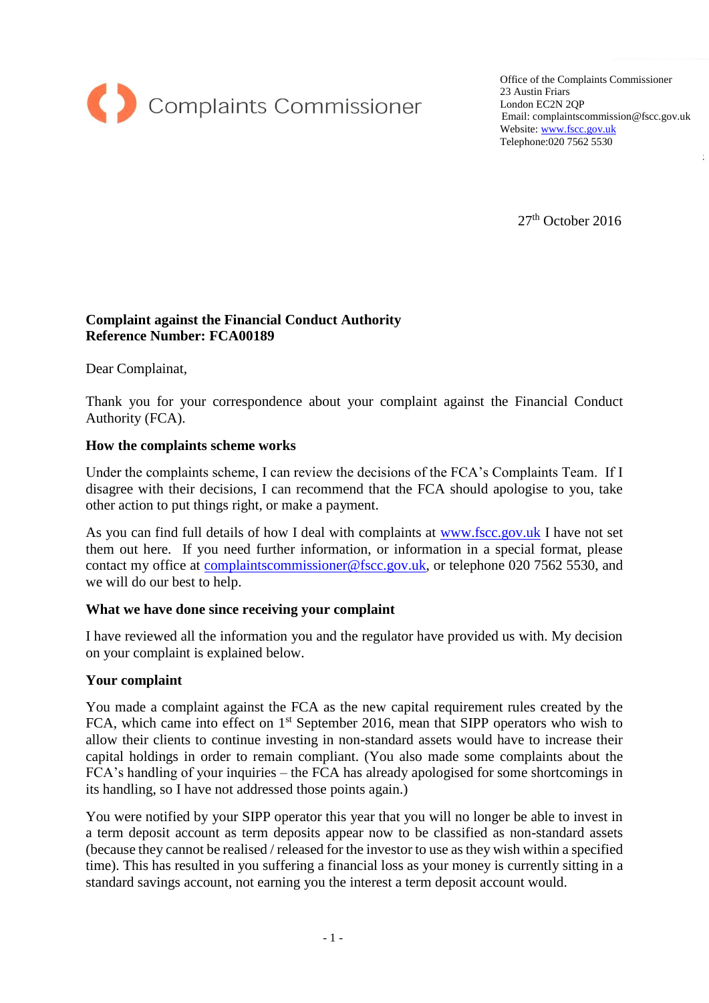

Office of the Complaints Commissioner 23 Austin Friars London EC2N 2QP Email: complaintscommission@fscc.gov.uk Website[: www.fscc.gov.uk](http://www.fscc.gov.uk/) Telephone:020 7562 5530

 $27<sup>th</sup>$  October 2016

# **Complaint against the Financial Conduct Authority Reference Number: FCA00189**

Dear Complainat,

Thank you for your correspondence about your complaint against the Financial Conduct Authority (FCA).

## **How the complaints scheme works**

Under the complaints scheme, I can review the decisions of the FCA's Complaints Team. If I disagree with their decisions, I can recommend that the FCA should apologise to you, take other action to put things right, or make a payment.

As you can find full details of how I deal with complaints at [www.fscc.gov.uk](http://www.fscc.gov.uk/) I have not set them out here. If you need further information, or information in a special format, please contact my office at [complaintscommissioner@fscc.gov.uk,](mailto:complaintscommissioner@fscc.gov.uk) or telephone 020 7562 5530, and we will do our best to help.

#### **What we have done since receiving your complaint**

I have reviewed all the information you and the regulator have provided us with. My decision on your complaint is explained below.

#### **Your complaint**

You made a complaint against the FCA as the new capital requirement rules created by the FCA, which came into effect on  $1<sup>st</sup>$  September 2016, mean that SIPP operators who wish to allow their clients to continue investing in non-standard assets would have to increase their capital holdings in order to remain compliant. (You also made some complaints about the FCA's handling of your inquiries – the FCA has already apologised for some shortcomings in its handling, so I have not addressed those points again.)

You were notified by your SIPP operator this year that you will no longer be able to invest in a term deposit account as term deposits appear now to be classified as non-standard assets (because they cannot be realised / released for the investor to use as they wish within a specified time). This has resulted in you suffering a financial loss as your money is currently sitting in a standard savings account, not earning you the interest a term deposit account would.